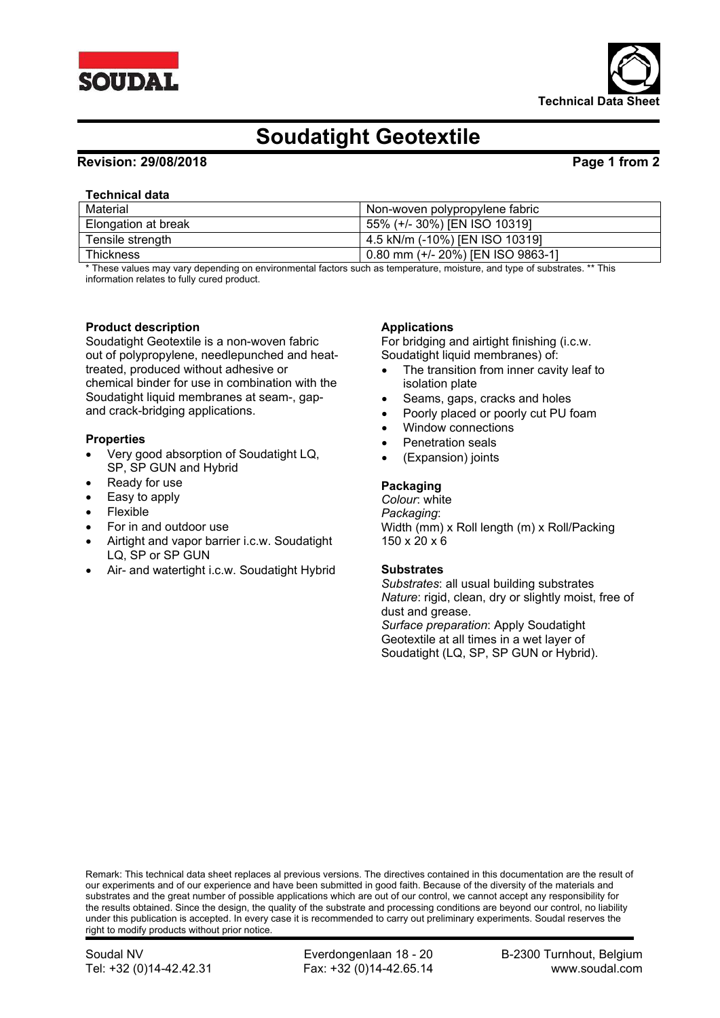



# **Soudatight Geotextile**

### **Revision: 29/08/2018 Page 1 from 2**

#### **Technical data**

| Material            | Non-woven polypropylene fabric      |
|---------------------|-------------------------------------|
| Elongation at break | 55% (+/- 30%) [EN ISO 10319]        |
| Tensile strength    | 4.5 kN/m (-10%) [EN ISO 10319]      |
| <b>Thickness</b>    | 0.80 mm $(+/- 20%)$ [EN ISO 9863-1] |

\* These values may vary depending on environmental factors such as temperature, moisture, and type of substrates. \*\* This information relates to fully cured product.

#### **Product description**

Soudatight Geotextile is a non-woven fabric out of polypropylene, needlepunched and heattreated, produced without adhesive or chemical binder for use in combination with the Soudatight liquid membranes at seam-, gapand crack-bridging applications.

#### **Properties**

- Very good absorption of Soudatight LQ, SP, SP GUN and Hybrid
- Ready for use
- Easy to apply
- Flexible
- For in and outdoor use
- Airtight and vapor barrier i.c.w. Soudatight LQ, SP or SP GUN
- Air- and watertight i.c.w. Soudatight Hybrid

### **Applications**

For bridging and airtight finishing (i.c.w. Soudatight liquid membranes) of:

- The transition from inner cavity leaf to isolation plate
- Seams, gaps, cracks and holes
- Poorly placed or poorly cut PU foam
- Window connections
- Penetration seals
- (Expansion) joints

#### **Packaging**

*Colour*: white *Packaging*: Width (mm) x Roll length (m) x Roll/Packing 150 x 20 x 6

#### **Substrates**

*Substrates*: all usual building substrates *Nature*: rigid, clean, dry or slightly moist, free of dust and grease. *Surface preparation*: Apply Soudatight

Geotextile at all times in a wet layer of Soudatight (LQ, SP, SP GUN or Hybrid).

Remark: This technical data sheet replaces al previous versions. The directives contained in this documentation are the result of our experiments and of our experience and have been submitted in good faith. Because of the diversity of the materials and substrates and the great number of possible applications which are out of our control, we cannot accept any responsibility for the results obtained. Since the design, the quality of the substrate and processing conditions are beyond our control, no liability under this publication is accepted. In every case it is recommended to carry out preliminary experiments. Soudal reserves the right to modify products without prior notice.